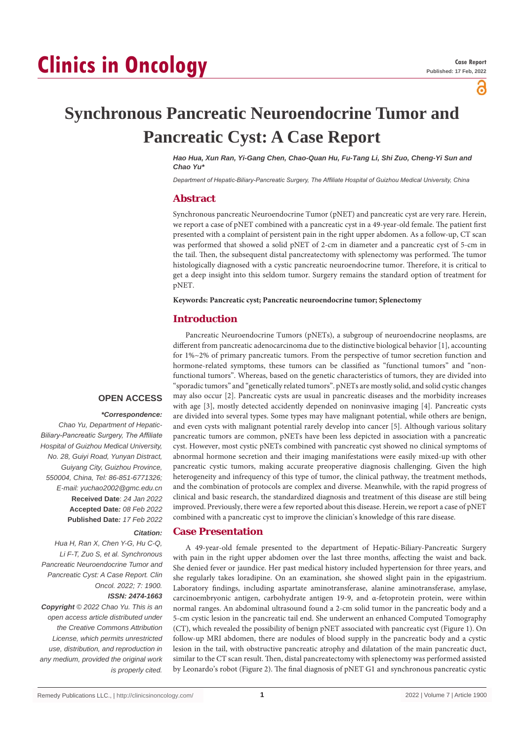പ്പ

# **Synchronous Pancreatic Neuroendocrine Tumor and Pancreatic Cyst: A Case Report**

*Hao Hua, Xun Ran, Yi-Gang Chen, Chao-Quan Hu, Fu-Tang Li, Shi Zuo, Cheng-Yi Sun and Chao Yu\**

*Department of Hepatic-Biliary-Pancreatic Surgery, The Affiliate Hospital of Guizhou Medical University, China*

## **Abstract**

Synchronous pancreatic Neuroendocrine Tumor (pNET) and pancreatic cyst are very rare. Herein, we report a case of pNET combined with a pancreatic cyst in a 49-year-old female. The patient first presented with a complaint of persistent pain in the right upper abdomen. As a follow-up, CT scan was performed that showed a solid pNET of 2-cm in diameter and a pancreatic cyst of 5-cm in the tail. Then, the subsequent distal pancreatectomy with splenectomy was performed. The tumor histologically diagnosed with a cystic pancreatic neuroendocrine tumor. Therefore, it is critical to get a deep insight into this seldom tumor. Surgery remains the standard option of treatment for pNET.

**Keywords: Pancreatic cyst; Pancreatic neuroendocrine tumor; Splenectomy**

## **Introduction**

Pancreatic Neuroendocrine Tumors (pNETs), a subgroup of neuroendocrine neoplasms, are different from pancreatic adenocarcinoma due to the distinctive biological behavior [1], accounting for 1%~2% of primary pancreatic tumors. From the perspective of tumor secretion function and hormone-related symptoms, these tumors can be classified as "functional tumors" and "nonfunctional tumors". Whereas, based on the genetic characteristics of tumors, they are divided into "sporadic tumors" and "genetically related tumors". pNETs are mostly solid, and solid cystic changes may also occur [2]. Pancreatic cysts are usual in pancreatic diseases and the morbidity increases with age [3], mostly detected accidently depended on noninvasive imaging [4]. Pancreatic cysts are divided into several types. Some types may have malignant potential, while others are benign, and even cysts with malignant potential rarely develop into cancer [5]. Although various solitary pancreatic tumors are common, pNETs have been less depicted in association with a pancreatic cyst. However, most cystic pNETs combined with pancreatic cyst showed no clinical symptoms of abnormal hormone secretion and their imaging manifestations were easily mixed-up with other pancreatic cystic tumors, making accurate preoperative diagnosis challenging. Given the high heterogeneity and infrequency of this type of tumor, the clinical pathway, the treatment methods, and the combination of protocols are complex and diverse. Meanwhile, with the rapid progress of clinical and basic research, the standardized diagnosis and treatment of this disease are still being improved. Previously, there were a few reported about this disease. Herein, we report a case of pNET combined with a pancreatic cyst to improve the clinician's knowledge of this rare disease.

## **Case Presentation**

A 49-year-old female presented to the department of Hepatic-Biliary-Pancreatic Surgery with pain in the right upper abdomen over the last three months, affecting the waist and back. She denied fever or jaundice. Her past medical history included hypertension for three years, and she regularly takes loradipine. On an examination, she showed slight pain in the epigastrium. Laboratory findings, including aspartate aminotransferase, alanine aminotransferase, amylase, carcinoembryonic antigen, carbohydrate antigen 19-9, and α-fetoprotein protein, were within normal ranges. An abdominal ultrasound found a 2-cm solid tumor in the pancreatic body and a 5-cm cystic lesion in the pancreatic tail end. She underwent an enhanced Computed Tomography (CT), which revealed the possibility of benign pNET associated with pancreatic cyst (Figure 1). On follow-up MRI abdomen, there are nodules of blood supply in the pancreatic body and a cystic lesion in the tail, with obstructive pancreatic atrophy and dilatation of the main pancreatic duct, similar to the CT scan result. Then, distal pancreatectomy with splenectomy was performed assisted by Leonardo's robot (Figure 2). The final diagnosis of pNET G1 and synchronous pancreatic cystic

# **OPEN ACCESS**

#### *\*Correspondence:*

*Chao Yu, Department of Hepatic-Biliary-Pancreatic Surgery, The Affiliate Hospital of Guizhou Medical University, No. 28, Guiyi Road, Yunyan Distract, Guiyang City, Guizhou Province, 550004, China, Tel: 86-851-6771326; E-mail: yuchao2002@gmc.edu.cn* **Received Date**: *24 Jan 2022* **Accepted Date***: 08 Feb 2022* **Published Date***: 17 Feb 2022*

#### *Citation:*

*Hua H, Ran X, Chen Y-G, Hu C-Q, Li F-T, Zuo S, et al. Synchronous Pancreatic Neuroendocrine Tumor and Pancreatic Cyst: A Case Report. Clin Oncol. 2022; 7: 1900. ISSN: 2474-1663*

*Copyright © 2022 Chao Yu. This is an open access article distributed under the Creative Commons Attribution License, which permits unrestricted use, distribution, and reproduction in any medium, provided the original work is properly cited.*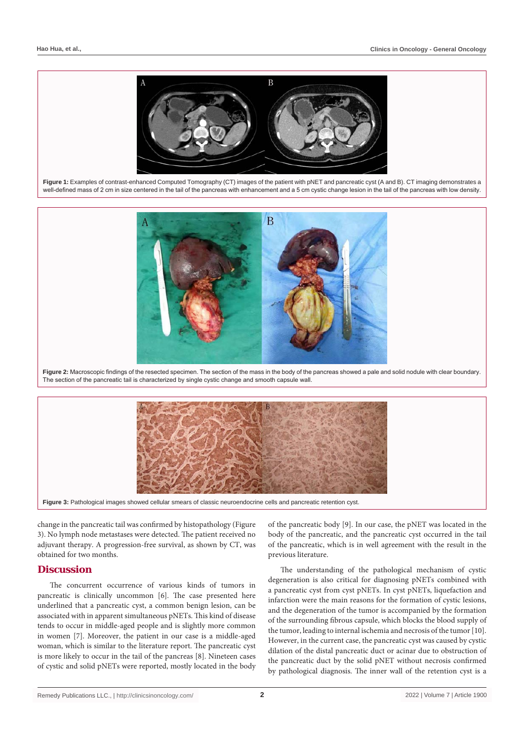

**Figure 1:** Examples of contrast-enhanced Computed Tomography (CT) images of the patient with pNET and pancreatic cyst (A and B). CT imaging demonstrates a well-defined mass of 2 cm in size centered in the tail of the pancreas with enhancement and a 5 cm cystic change lesion in the tail of the pancreas with low density.



**Figure 2:** Macroscopic findings of the resected specimen. The section of the mass in the body of the pancreas showed a pale and solid nodule with clear boundary. The section of the pancreatic tail is characterized by single cystic change and smooth capsule wall.



change in the pancreatic tail was confirmed by histopathology (Figure 3). No lymph node metastases were detected. The patient received no adjuvant therapy. A progression-free survival, as shown by CT, was obtained for two months.

### **Discussion**

The concurrent occurrence of various kinds of tumors in pancreatic is clinically uncommon [6]. The case presented here underlined that a pancreatic cyst, a common benign lesion, can be associated with in apparent simultaneous pNETs. This kind of disease tends to occur in middle-aged people and is slightly more common in women [7]. Moreover, the patient in our case is a middle-aged woman, which is similar to the literature report. The pancreatic cyst is more likely to occur in the tail of the pancreas [8]. Nineteen cases of cystic and solid pNETs were reported, mostly located in the body

of the pancreatic body [9]. In our case, the pNET was located in the body of the pancreatic, and the pancreatic cyst occurred in the tail of the pancreatic, which is in well agreement with the result in the previous literature.

The understanding of the pathological mechanism of cystic degeneration is also critical for diagnosing pNETs combined with a pancreatic cyst from cyst pNETs. In cyst pNETs, liquefaction and infarction were the main reasons for the formation of cystic lesions, and the degeneration of the tumor is accompanied by the formation of the surrounding fibrous capsule, which blocks the blood supply of the tumor, leading to internal ischemia and necrosis of the tumor [10]. However, in the current case, the pancreatic cyst was caused by cystic dilation of the distal pancreatic duct or acinar due to obstruction of the pancreatic duct by the solid pNET without necrosis confirmed by pathological diagnosis. The inner wall of the retention cyst is a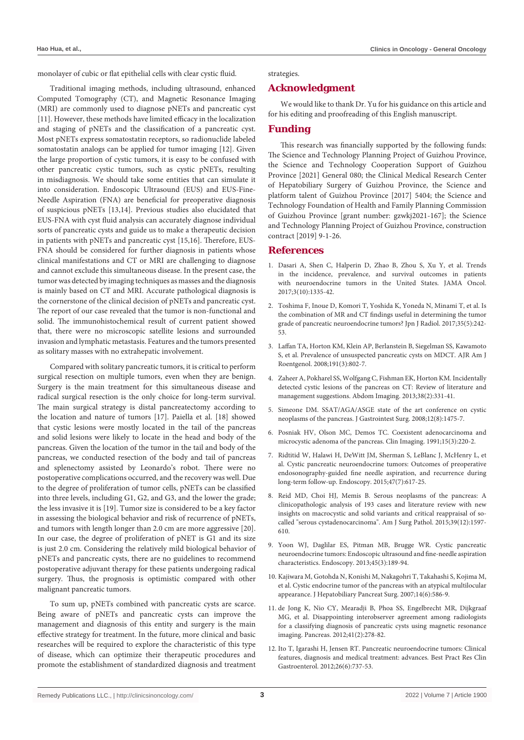monolayer of cubic or flat epithelial cells with clear cystic fluid.

Traditional imaging methods, including ultrasound, enhanced Computed Tomography (CT), and Magnetic Resonance Imaging (MRI) are commonly used to diagnose pNETs and pancreatic cyst [11]. However, these methods have limited efficacy in the localization and staging of pNETs and the classification of a pancreatic cyst. Most pNETs express somatostatin receptors, so radionuclide labeled somatostatin analogs can be applied for tumor imaging [12]. Given the large proportion of cystic tumors, it is easy to be confused with other pancreatic cystic tumors, such as cystic pNETs, resulting in misdiagnosis. We should take some entities that can simulate it into consideration. Endoscopic Ultrasound (EUS) and EUS-Fine-Needle Aspiration (FNA) are beneficial for preoperative diagnosis of suspicious pNETs [13,14]. Previous studies also elucidated that EUS-FNA with cyst fluid analysis can accurately diagnose individual sorts of pancreatic cysts and guide us to make a therapeutic decision in patients with pNETs and pancreatic cyst [15,16]. Therefore, EUS-FNA should be considered for further diagnosis in patients whose clinical manifestations and CT or MRI are challenging to diagnose and cannot exclude this simultaneous disease. In the present case, the tumor was detected by imaging techniques as masses and the diagnosis is mainly based on CT and MRI. Accurate pathological diagnosis is the cornerstone of the clinical decision of pNETs and pancreatic cyst. The report of our case revealed that the tumor is non-functional and solid. The immunohistochemical result of current patient showed that, there were no microscopic satellite lesions and surrounded invasion and lymphatic metastasis. Features and the tumors presented as solitary masses with no extrahepatic involvement.

Compared with solitary pancreatic tumors, it is critical to perform surgical resection on multiple tumors, even when they are benign. Surgery is the main treatment for this simultaneous disease and radical surgical resection is the only choice for long-term survival. The main surgical strategy is distal pancreatectomy according to the location and nature of tumors [17]. Paiella et al. [18] showed that cystic lesions were mostly located in the tail of the pancreas and solid lesions were likely to locate in the head and body of the pancreas. Given the location of the tumor in the tail and body of the pancreas, we conducted resection of the body and tail of pancreas and splenectomy assisted by Leonardo's robot. There were no postoperative complications occurred, and the recovery was well. Due to the degree of proliferation of tumor cells, pNETs can be classified into three levels, including G1, G2, and G3, and the lower the grade; the less invasive it is [19]. Tumor size is considered to be a key factor in assessing the biological behavior and risk of recurrence of pNETs, and tumors with length longer than 2.0 cm are more aggressive [20]. In our case, the degree of proliferation of pNET is G1 and its size is just 2.0 cm. Considering the relatively mild biological behavior of pNETs and pancreatic cysts, there are no guidelines to recommend postoperative adjuvant therapy for these patients undergoing radical surgery. Thus, the prognosis is optimistic compared with other malignant pancreatic tumors.

To sum up, pNETs combined with pancreatic cysts are scarce. Being aware of pNETs and pancreatic cysts can improve the management and diagnosis of this entity and surgery is the main effective strategy for treatment. In the future, more clinical and basic researches will be required to explore the characteristic of this type of disease, which can optimize their therapeutic procedures and promote the establishment of standardized diagnosis and treatment strategies.

## **Acknowledgment**

We would like to thank Dr. Yu for his guidance on this article and for his editing and proofreading of this English manuscript.

## **Funding**

This research was financially supported by the following funds: The Science and Technology Planning Project of Guizhou Province, the Science and Technology Cooperation Support of Guizhou Province [2021] General 080; the Clinical Medical Research Center of Hepatobiliary Surgery of Guizhou Province, the Science and platform talent of Guizhou Province [2017] 5404; the Science and Technology Foundation of Health and Family Planning Commission of Guizhou Province [grant number: gzwkj2021-167]; the Science and Technology Planning Project of Guizhou Province, construction contract [2019] 9-1-26.

## **References**

- 1. [Dasari A, Shen C, Halperin D, Zhao B, Zhou S, Xu Y, et al. Trends](https://pubmed.ncbi.nlm.nih.gov/28448665/)  [in the incidence, prevalence, and survival outcomes in patients](https://pubmed.ncbi.nlm.nih.gov/28448665/)  [with neuroendocrine tumors in the United States. JAMA Oncol.](https://pubmed.ncbi.nlm.nih.gov/28448665/)  [2017;3\(10\):1335-42.](https://pubmed.ncbi.nlm.nih.gov/28448665/)
- 2. [Toshima F, Inoue D, Komori T, Yoshida K, Yoneda N, Minami T, et al. Is](https://pubmed.ncbi.nlm.nih.gov/28258323/)  [the combination of MR and CT findings useful in determining the tumor](https://pubmed.ncbi.nlm.nih.gov/28258323/)  [grade of pancreatic neuroendocrine tumors? Jpn J Radiol. 2017;35\(5\):242-](https://pubmed.ncbi.nlm.nih.gov/28258323/) [53.](https://pubmed.ncbi.nlm.nih.gov/28258323/)
- 3. [Laffan TA, Horton KM, Klein AP, Berlanstein B, Siegelman SS, Kawamoto](https://pubmed.ncbi.nlm.nih.gov/18716113/)  [S, et al. Prevalence of unsuspected pancreatic cysts on MDCT. AJR Am J](https://pubmed.ncbi.nlm.nih.gov/18716113/)  [Roentgenol. 2008;191\(3\):802-7.](https://pubmed.ncbi.nlm.nih.gov/18716113/)
- 4. [Zaheer A, Pokharel SS, Wolfgang C, Fishman EK, Horton KM. Incidentally](https://pubmed.ncbi.nlm.nih.gov/22534872/)  [detected cystic lesions of the pancreas on CT: Review of literature and](https://pubmed.ncbi.nlm.nih.gov/22534872/)  [management suggestions. Abdom Imaging. 2013;38\(2\):331-41.](https://pubmed.ncbi.nlm.nih.gov/22534872/)
- 5. [Simeone DM. SSAT/AGA/ASGE state of the art conference on cystic](https://pubmed.ncbi.nlm.nih.gov/18224378/)  [neoplasms of the pancreas. J Gastrointest Surg. 2008;12\(8\):1475-7.](https://pubmed.ncbi.nlm.nih.gov/18224378/)
- 6. [Posniak HV, Olson MC, Demos TC. Coexistent adenocarcinoma and](https://www.clinicalimaging.org/article/0899-7071(91)90083-8/fulltext)  [microcystic adenoma of the pancreas. Clin Imaging. 1991;15\(3\):220-2.](https://www.clinicalimaging.org/article/0899-7071(91)90083-8/fulltext)
- 7. [Ridtitid W, Halawi H, DeWitt JM, Sherman S, LeBlanc J, McHenry L, et](https://pubmed.ncbi.nlm.nih.gov/25763832/)  [al. Cystic pancreatic neuroendocrine tumors: Outcomes of preoperative](https://pubmed.ncbi.nlm.nih.gov/25763832/)  [endosonography-guided fine needle aspiration, and recurrence during](https://pubmed.ncbi.nlm.nih.gov/25763832/)  [long-term follow-up. Endoscopy. 2015;47\(7\):617-25.](https://pubmed.ncbi.nlm.nih.gov/25763832/)
- 8. [Reid MD, Choi HJ, Memis B. Serous neoplasms of the pancreas: A](https://pubmed.ncbi.nlm.nih.gov/26559376/)  [clinicopathologic analysis of 193 cases and literature review with new](https://pubmed.ncbi.nlm.nih.gov/26559376/)  [insights on macrocystic and solid variants and critical reappraisal of so](https://pubmed.ncbi.nlm.nih.gov/26559376/)[called "serous cystadenocarcinoma". Am J Surg Pathol. 2015;39\(12\):1597-](https://pubmed.ncbi.nlm.nih.gov/26559376/) [610.](https://pubmed.ncbi.nlm.nih.gov/26559376/)
- 9. [Yoon WJ, Daglilar ES, Pitman MB, Brugge WR. Cystic pancreatic](https://pubmed.ncbi.nlm.nih.gov/23296363/)  [neuroendocrine tumors: Endoscopic ultrasound and fine-needle aspiration](https://pubmed.ncbi.nlm.nih.gov/23296363/)  [characteristics. Endoscopy. 2013;45\(3\):189-94.](https://pubmed.ncbi.nlm.nih.gov/23296363/)
- 10. [Kajiwara M, Gotohda N, Konishi M, Nakagohri T, Takahashi S, Kojima M,](https://pubmed.ncbi.nlm.nih.gov/18040626/)  [et al. Cystic endocrine tumor of the pancreas with an atypical multilocular](https://pubmed.ncbi.nlm.nih.gov/18040626/)  [appearance. J Hepatobiliary Pancreat Surg. 2007;14\(6\):586-9.](https://pubmed.ncbi.nlm.nih.gov/18040626/)
- 11. [de Jong K, Nio CY, Mearadji B, Phoa SS, Engelbrecht MR, Dijkgraaf](https://pubmed.ncbi.nlm.nih.gov/22015970/)  [MG, et al. Disappointing interobserver agreement among radiologists](https://pubmed.ncbi.nlm.nih.gov/22015970/)  [for a classifying diagnosis of pancreatic cysts using magnetic resonance](https://pubmed.ncbi.nlm.nih.gov/22015970/)  [imaging. Pancreas. 2012;41\(2\):278-82.](https://pubmed.ncbi.nlm.nih.gov/22015970/)
- 12. [Ito T, Igarashi H, Jensen RT. Pancreatic neuroendocrine tumors: Clinical](https://pubmed.ncbi.nlm.nih.gov/23582916/)  [features, diagnosis and medical treatment: advances. Best Pract Res Clin](https://pubmed.ncbi.nlm.nih.gov/23582916/)  [Gastroenterol. 2012;26\(6\):737-53.](https://pubmed.ncbi.nlm.nih.gov/23582916/)